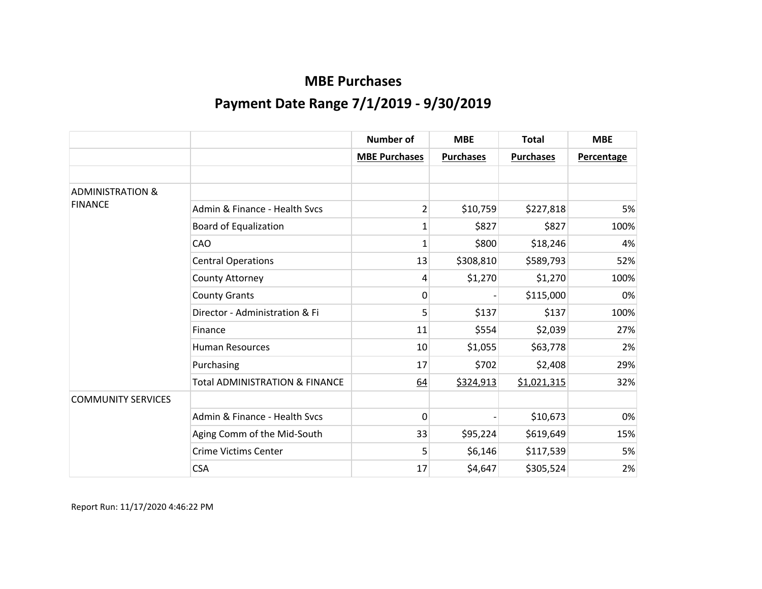|                             |                                           | <b>Number of</b>     | <b>MBE</b>       | <b>Total</b>     | <b>MBE</b>        |
|-----------------------------|-------------------------------------------|----------------------|------------------|------------------|-------------------|
|                             |                                           | <b>MBE Purchases</b> | <b>Purchases</b> | <b>Purchases</b> | <b>Percentage</b> |
|                             |                                           |                      |                  |                  |                   |
| <b>ADMINISTRATION &amp;</b> |                                           |                      |                  |                  |                   |
| <b>FINANCE</b>              | Admin & Finance - Health Sycs             | $\overline{2}$       | \$10,759         | \$227,818        | 5%                |
|                             | <b>Board of Equalization</b>              | 1                    | \$827            | \$827            | 100%              |
|                             | CAO                                       | 1                    | \$800            | \$18,246         | 4%                |
|                             | <b>Central Operations</b>                 | 13                   | \$308,810        | \$589,793        | 52%               |
|                             | County Attorney                           | 4                    | \$1,270          | \$1,270          | 100%              |
|                             | <b>County Grants</b>                      | 0                    |                  | \$115,000        | 0%                |
|                             | Director - Administration & Fi            | 5                    | \$137            | \$137            | 100%              |
|                             | Finance                                   | 11                   | \$554            | \$2,039          | 27%               |
|                             | <b>Human Resources</b>                    | 10                   | \$1,055          | \$63,778         | 2%                |
|                             | Purchasing                                | 17                   | \$702            | \$2,408          | 29%               |
|                             | <b>Total ADMINISTRATION &amp; FINANCE</b> | 64                   | \$324,913        | \$1,021,315      | 32%               |
| <b>COMMUNITY SERVICES</b>   |                                           |                      |                  |                  |                   |
|                             | Admin & Finance - Health Svcs             | 0                    |                  | \$10,673         | 0%                |
|                             | Aging Comm of the Mid-South               | 33                   | \$95,224         | \$619,649        | 15%               |
|                             | <b>Crime Victims Center</b>               | 5                    | \$6,146          | \$117,539        | 5%                |
|                             | <b>CSA</b>                                | 17                   | \$4,647          | \$305,524        | 2%                |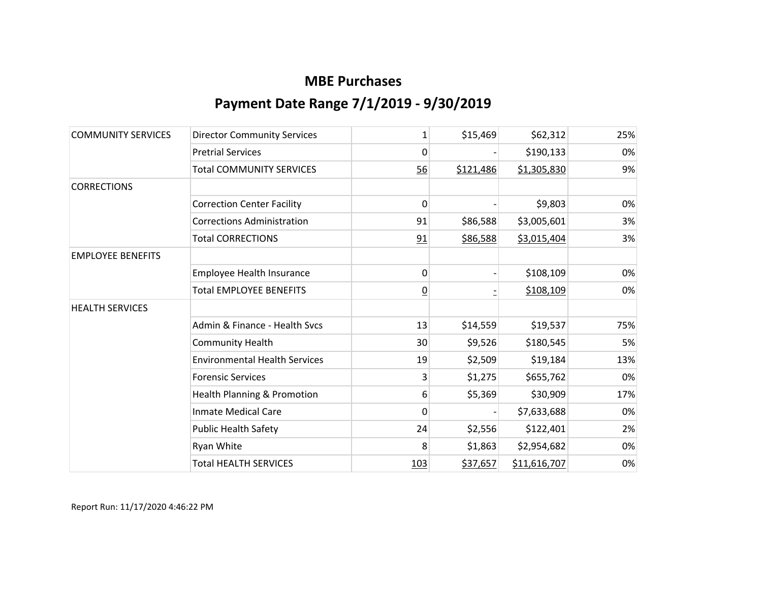| <b>COMMUNITY SERVICES</b> | <b>Director Community Services</b>     | 1              | \$15,469  | \$62,312     | 25% |
|---------------------------|----------------------------------------|----------------|-----------|--------------|-----|
|                           | <b>Pretrial Services</b>               | 0              |           | \$190,133    | 0%  |
|                           | <b>Total COMMUNITY SERVICES</b>        | 56             | \$121,486 | \$1,305,830  | 9%  |
| <b>CORRECTIONS</b>        |                                        |                |           |              |     |
|                           | <b>Correction Center Facility</b>      | 0              |           | \$9,803      | 0%  |
|                           | <b>Corrections Administration</b>      | 91             | \$86,588  | \$3,005,601  | 3%  |
|                           | <b>Total CORRECTIONS</b>               | 91             | \$86,588  | \$3,015,404  | 3%  |
| <b>EMPLOYEE BENEFITS</b>  |                                        |                |           |              |     |
|                           | Employee Health Insurance              | 0              |           | \$108,109    | 0%  |
|                           | Total EMPLOYEE BENEFITS                | $\overline{0}$ |           | \$108,109    | 0%  |
| <b>HEALTH SERVICES</b>    |                                        |                |           |              |     |
|                           | Admin & Finance - Health Svcs          | 13             | \$14,559  | \$19,537     | 75% |
|                           | <b>Community Health</b>                | 30             | \$9,526   | \$180,545    | 5%  |
|                           | <b>Environmental Health Services</b>   | 19             | \$2,509   | \$19,184     | 13% |
|                           | <b>Forensic Services</b>               | 3              | \$1,275   | \$655,762    | 0%  |
|                           | <b>Health Planning &amp; Promotion</b> | 6              | \$5,369   | \$30,909     | 17% |
|                           | <b>Inmate Medical Care</b>             | 0              |           | \$7,633,688  | 0%  |
|                           | <b>Public Health Safety</b>            | 24             | \$2,556   | \$122,401    | 2%  |
|                           | Ryan White                             | 8              | \$1,863   | \$2,954,682  | 0%  |
|                           | <b>Total HEALTH SERVICES</b>           | <u>103</u>     | \$37,657  | \$11,616,707 | 0%  |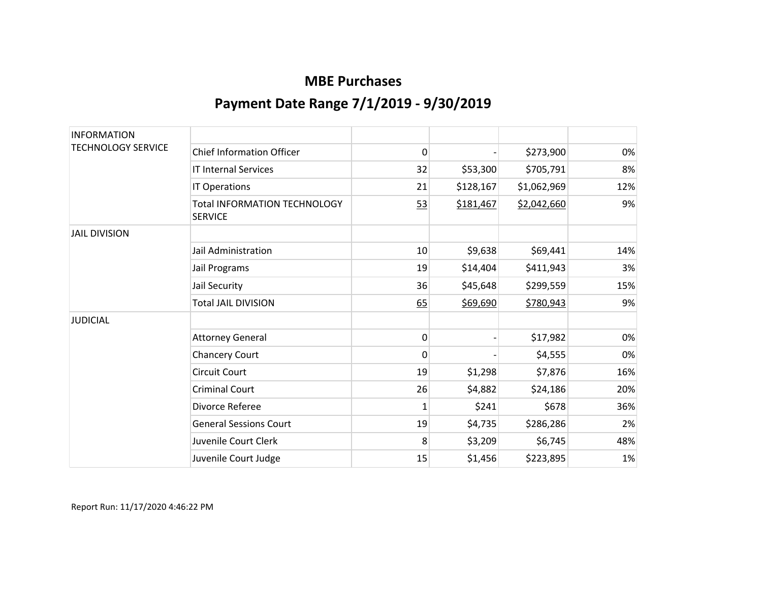| <b>INFORMATION</b>        |                                                |              |           |             |     |
|---------------------------|------------------------------------------------|--------------|-----------|-------------|-----|
| <b>TECHNOLOGY SERVICE</b> | <b>Chief Information Officer</b>               | 0            |           | \$273,900   | 0%  |
|                           | <b>IT Internal Services</b>                    | 32           | \$53,300  | \$705,791   | 8%  |
|                           | IT Operations                                  | 21           | \$128,167 | \$1,062,969 | 12% |
|                           | Total INFORMATION TECHNOLOGY<br><b>SERVICE</b> | 53           | \$181,467 | \$2,042,660 | 9%  |
| <b>JAIL DIVISION</b>      |                                                |              |           |             |     |
|                           | Jail Administration                            | 10           | \$9,638   | \$69,441    | 14% |
|                           | Jail Programs                                  | 19           | \$14,404  | \$411,943   | 3%  |
|                           | Jail Security                                  | 36           | \$45,648  | \$299,559   | 15% |
|                           | <b>Total JAIL DIVISION</b>                     | 65           | \$69,690  | \$780,943   | 9%  |
| <b>JUDICIAL</b>           |                                                |              |           |             |     |
|                           | <b>Attorney General</b>                        | 0            |           | \$17,982    | 0%  |
|                           | <b>Chancery Court</b>                          | $\mathbf{0}$ |           | \$4,555     | 0%  |
|                           | <b>Circuit Court</b>                           | 19           | \$1,298   | \$7,876     | 16% |
|                           | <b>Criminal Court</b>                          | 26           | \$4,882   | \$24,186    | 20% |
|                           | Divorce Referee                                | 1            | \$241     | \$678       | 36% |
|                           | <b>General Sessions Court</b>                  | 19           | \$4,735   | \$286,286   | 2%  |
|                           | Juvenile Court Clerk                           | 8            | \$3,209   | \$6,745     | 48% |
|                           | Juvenile Court Judge                           | 15           | \$1,456   | \$223,895   | 1%  |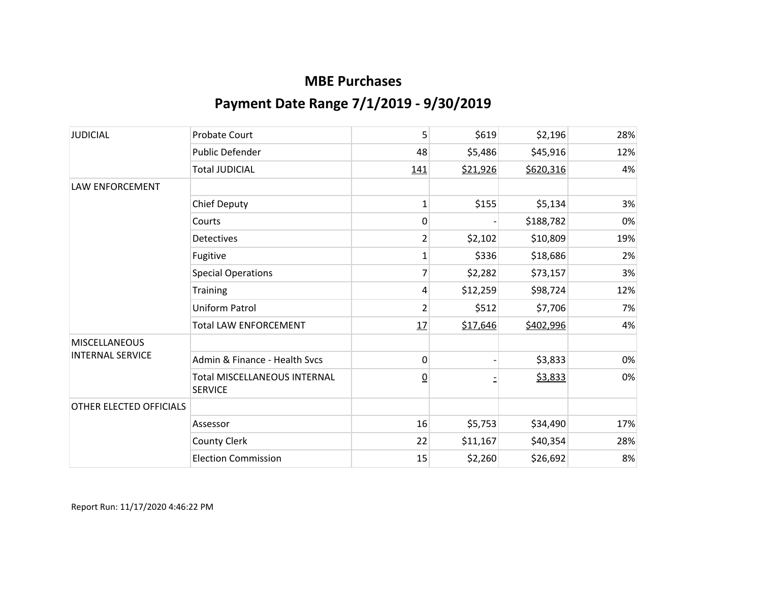| <b>JUDICIAL</b>         | <b>Probate Court</b>                                  | 5               | \$619    | \$2,196   | 28% |
|-------------------------|-------------------------------------------------------|-----------------|----------|-----------|-----|
|                         | <b>Public Defender</b>                                | 48              | \$5,486  | \$45,916  | 12% |
|                         | <b>Total JUDICIAL</b>                                 | 141             | \$21,926 | \$620,316 | 4%  |
| LAW ENFORCEMENT         |                                                       |                 |          |           |     |
|                         | <b>Chief Deputy</b>                                   | $\mathbf{1}$    | \$155    | \$5,134   | 3%  |
|                         | Courts                                                | 0               |          | \$188,782 | 0%  |
|                         | Detectives                                            | $\overline{2}$  | \$2,102  | \$10,809  | 19% |
|                         | Fugitive                                              | 1               | \$336    | \$18,686  | 2%  |
|                         | <b>Special Operations</b>                             | 7               | \$2,282  | \$73,157  | 3%  |
|                         | Training                                              | 4               | \$12,259 | \$98,724  | 12% |
|                         | Uniform Patrol                                        | $\overline{2}$  | \$512    | \$7,706   | 7%  |
|                         | <b>Total LAW ENFORCEMENT</b>                          | 17              | \$17,646 | \$402,996 | 4%  |
| <b>MISCELLANEOUS</b>    |                                                       |                 |          |           |     |
| <b>INTERNAL SERVICE</b> | Admin & Finance - Health Svcs                         | 0               |          | \$3,833   | 0%  |
|                         | <b>Total MISCELLANEOUS INTERNAL</b><br><b>SERVICE</b> | $\underline{0}$ |          | \$3,833   | 0%  |
| OTHER ELECTED OFFICIALS |                                                       |                 |          |           |     |
|                         | Assessor                                              | 16              | \$5,753  | \$34,490  | 17% |
|                         | County Clerk                                          | 22              | \$11,167 | \$40,354  | 28% |
|                         | <b>Election Commission</b>                            | 15              | \$2,260  | \$26,692  | 8%  |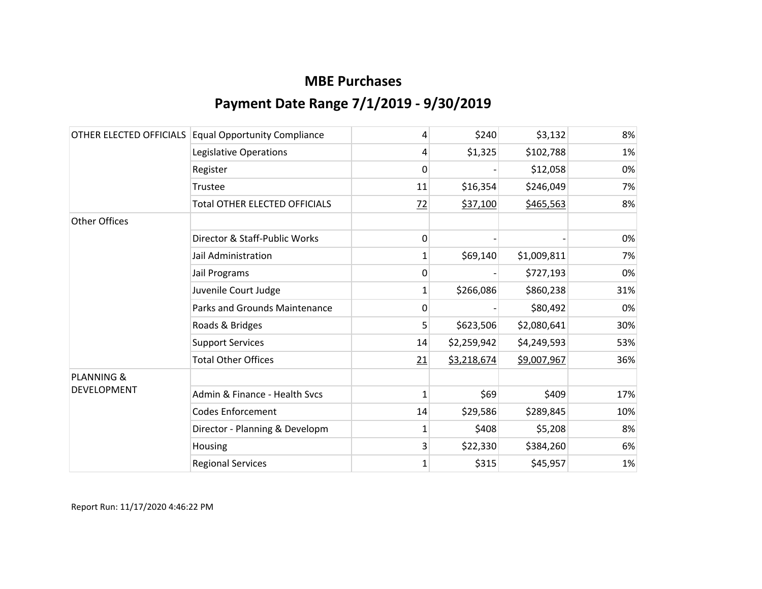|                       | OTHER ELECTED OFFICIALS Equal Opportunity Compliance | 4              | \$240       | \$3,132     | 8%  |
|-----------------------|------------------------------------------------------|----------------|-------------|-------------|-----|
|                       | Legislative Operations                               | 4              | \$1,325     | \$102,788   | 1%  |
|                       | Register                                             | 0              |             | \$12,058    | 0%  |
|                       | Trustee                                              | 11             | \$16,354    | \$246,049   | 7%  |
|                       | <b>Total OTHER ELECTED OFFICIALS</b>                 | $\frac{72}{2}$ | \$37,100    | \$465,563   | 8%  |
| Other Offices         |                                                      |                |             |             |     |
|                       | Director & Staff-Public Works                        | 0              |             |             | 0%  |
|                       | Jail Administration                                  | 1              | \$69,140    | \$1,009,811 | 7%  |
|                       | Jail Programs                                        | 0              |             | \$727,193   | 0%  |
|                       | Juvenile Court Judge                                 | 1              | \$266,086   | \$860,238   | 31% |
|                       | <b>Parks and Grounds Maintenance</b>                 | 0              |             | \$80,492    | 0%  |
|                       | Roads & Bridges                                      | 5              | \$623,506   | \$2,080,641 | 30% |
|                       | <b>Support Services</b>                              | 14             | \$2,259,942 | \$4,249,593 | 53% |
|                       | <b>Total Other Offices</b>                           | 21             | \$3,218,674 | \$9,007,967 | 36% |
| <b>PLANNING &amp;</b> |                                                      |                |             |             |     |
| DEVELOPMENT           | Admin & Finance - Health Svcs                        | 1              | \$69        | \$409       | 17% |
|                       | <b>Codes Enforcement</b>                             | 14             | \$29,586    | \$289,845   | 10% |
|                       | Director - Planning & Developm                       | 1              | \$408       | \$5,208     | 8%  |
|                       | Housing                                              | 3              | \$22,330    | \$384,260   | 6%  |
|                       | <b>Regional Services</b>                             | $\mathbf 1$    | \$315       | \$45,957    | 1%  |